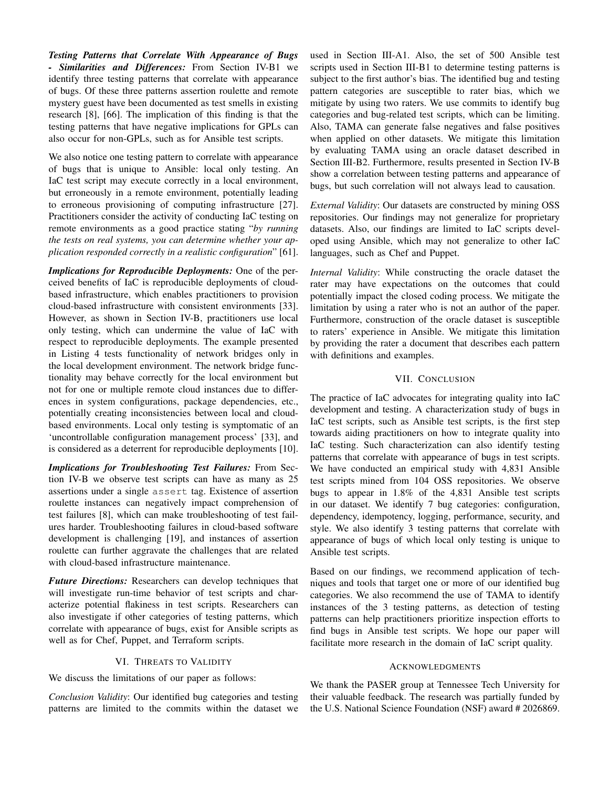*Testing Patterns that Correlate With Appearance of Bugs - Similarities and Differences:* From Section IV-B1 we identify three testing patterns that correlate with appearance of bugs. Of these three patterns assertion roulette and remote mystery guest have been documented as test smells in existing research [8], [66]. The implication of this finding is that the testing patterns that have negative implications for GPLs can also occur for non-GPLs, such as for Ansible test scripts.

We also notice one testing pattern to correlate with appearance of bugs that is unique to Ansible: local only testing. An IaC test script may execute correctly in a local environment, but erroneously in a remote environment, potentially leading to erroneous provisioning of computing infrastructure [27]. Practitioners consider the activity of conducting IaC testing on remote environments as a good practice stating "*by running the tests on real systems, you can determine whether your application responded correctly in a realistic configuration*" [61].

*Implications for Reproducible Deployments:* One of the perceived benefits of IaC is reproducible deployments of cloudbased infrastructure, which enables practitioners to provision cloud-based infrastructure with consistent environments [33]. However, as shown in Section IV-B, practitioners use local only testing, which can undermine the value of IaC with respect to reproducible deployments. The example presented in Listing 4 tests functionality of network bridges only in the local development environment. The network bridge functionality may behave correctly for the local environment but not for one or multiple remote cloud instances due to differences in system configurations, package dependencies, etc., potentially creating inconsistencies between local and cloudbased environments. Local only testing is symptomatic of an 'uncontrollable configuration management process' [33], and is considered as a deterrent for reproducible deployments [10]. e presented by providing<br>
ges only in with definition<br>
ordige function<br>
the to differ-<br>
encies, etc., The practice<br>
and cloud-<br>
development<br>
matic of an IaC test scrips<br>
and towards aidi<br>
matic 101 IaC testing.

*Implications for Troubleshooting Test Failures:* From Section IV-B we observe test scripts can have as many as 25 assertions under a single assert tag. Existence of assertion roulette instances can negatively impact comprehension of test failures [8], which can make troubleshooting of test failures harder. Troubleshooting failures in cloud-based software development is challenging [19], and instances of assertion roulette can further aggravate the challenges that are related with cloud-based infrastructure maintenance.

*Future Directions:* Researchers can develop techniques that will investigate run-time behavior of test scripts and characterize potential flakiness in test scripts. Researchers can also investigate if other categories of testing patterns, which correlate with appearance of bugs, exist for Ansible scripts as well as for Chef, Puppet, and Terraform scripts.

## VI. THREATS TO VALIDITY

We discuss the limitations of our paper as follows:

*Conclusion Validity*: Our identified bug categories and testing patterns are limited to the commits within the dataset we used in Section III-A1. Also, the set of 500 Ansible test scripts used in Section III-B1 to determine testing patterns is subject to the first author's bias. The identified bug and testing pattern categories are susceptible to rater bias, which we mitigate by using two raters. We use commits to identify bug categories and bug-related test scripts, which can be limiting. Also, TAMA can generate false negatives and false positives when applied on other datasets. We mitigate this limitation by evaluating TAMA using an oracle dataset described in Section III-B2. Furthermore, results presented in Section IV-B show a correlation between testing patterns and appearance of bugs, but such correlation will not always lead to causation.

*External Validity*: Our datasets are constructed by mining OSS repositories. Our findings may not generalize for proprietary datasets. Also, our findings are limited to IaC scripts developed using Ansible, which may not generalize to other IaC languages, such as Chef and Puppet.

*Internal Validity*: While constructing the oracle dataset the rater may have expectations on the outcomes that could potentially impact the closed coding process. We mitigate the limitation by using a rater who is not an author of the paper. Furthermore, construction of the oracle dataset is susceptible to raters' experience in Ansible. We mitigate this limitation by providing the rater a document that describes each pattern with definitions and examples.

## VII. CONCLUSION

The practice of IaC advocates for integrating quality into IaC development and testing. A characterization study of bugs in IaC test scripts, such as Ansible test scripts, is the first step towards aiding practitioners on how to integrate quality into IaC testing. Such characterization can also identify testing patterns that correlate with appearance of bugs in test scripts. We have conducted an empirical study with 4,831 Ansible test scripts mined from 104 OSS repositories. We observe bugs to appear in 1.8% of the 4,831 Ansible test scripts in our dataset. We identify 7 bug categories: configuration, dependency, idempotency, logging, performance, security, and style. We also identify 3 testing patterns that correlate with appearance of bugs of which local only testing is unique to Ansible test scripts.

Based on our findings, we recommend application of techniques and tools that target one or more of our identified bug categories. We also recommend the use of TAMA to identify instances of the 3 testing patterns, as detection of testing patterns can help practitioners prioritize inspection efforts to find bugs in Ansible test scripts. We hope our paper will facilitate more research in the domain of IaC script quality.

## ACKNOWLEDGMENTS

We thank the PASER group at Tennessee Tech University for their valuable feedback. The research was partially funded by the U.S. National Science Foundation (NSF) award # 2026869.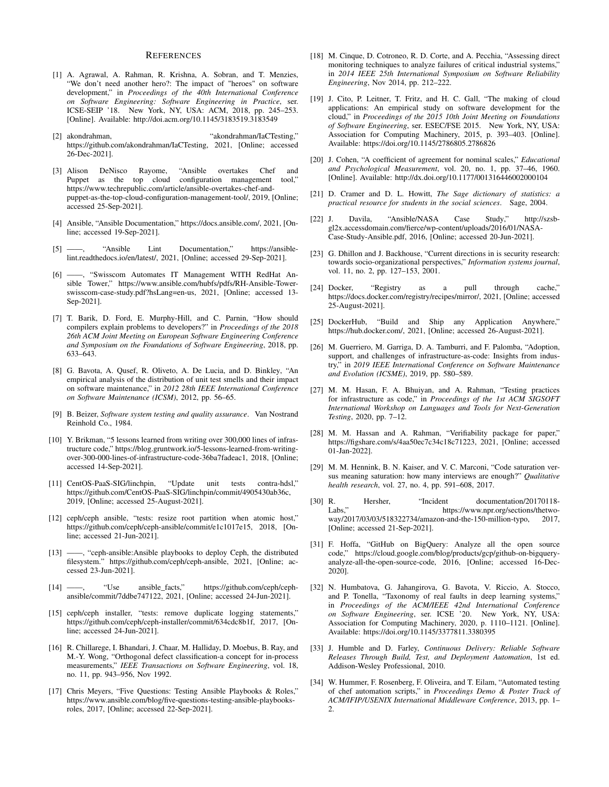## **REFERENCES**

- [1] A. Agrawal, A. Rahman, R. Krishna, A. Sobran, and T. Menzies, 'We don't need another hero?: The impact of "heroes" on software development," in *Proceedings of the 40th International Conference on Software Engineering: Software Engineering in Practice*, ser. ICSE-SEIP '18. New York, NY, USA: ACM, 2018, pp. 245–253. [Online]. Available: http://doi.acm.org/10.1145/3183519.3183549
- [2] akondrahman, "akondrahman/IaCTesting," https://github.com/akondrahman/IaCTesting, 2021, [Online; accessed 26-Dec-2021].
- [3] Alison DeNisco Rayome, "Ansible overtakes Chef and Puppet as the top cloud configuration management tool," https://www.techrepublic.com/article/ansible-overtakes-chef-andpuppet-as-the-top-cloud-configuration-management-tool/, 2019, [Online; accessed 25-Sep-2021].
- [4] Ansible, "Ansible Documentation," https://docs.ansible.com/, 2021, [Online; accessed 19-Sep-2021].
- [5] ——, "Ansible Lint Documentation," https://ansiblelint.readthedocs.io/en/latest/, 2021, [Online; accessed 29-Sep-2021].
- [6] ——, "Swisscom Automates IT Management WITH RedHat Ansible Tower," https://www.ansible.com/hubfs/pdfs/RH-Ansible-Towerswisscom-case-study.pdf?hsLang=en-us, 2021, [Online; accessed 13- Sep-2021].
- [7] T. Barik, D. Ford, E. Murphy-Hill, and C. Parnin, "How should compilers explain problems to developers?" in *Proceedings of the 2018 26th ACM Joint Meeting on European Software Engineering Conference and Symposium on the Foundations of Software Engineering*, 2018, pp. 633–643.
- [8] G. Bavota, A. Qusef, R. Oliveto, A. De Lucia, and D. Binkley, "An empirical analysis of the distribution of unit test smells and their impact on software maintenance," in *2012 28th IEEE International Conference on Software Maintenance (ICSM)*, 2012, pp. 56–65.
- [9] B. Beizer, *Software system testing and quality assurance*. Van Nostrand Reinhold Co., 1984.
- [10] Y. Brikman, "5 lessons learned from writing over 300,000 lines of infrastructure code," https://blog.gruntwork.io/5-lessons-learned-from-writingover-300-000-lines-of-infrastructure-code-36ba7fadeac1, 2018, [Online; accessed 14-Sep-2021].
- [11] CentOS-PaaS-SIG/linchpin, "Update unit tests contra-hdsl," https://github.com/CentOS-PaaS-SIG/linchpin/commit/4905430ab36c, 2019, [Online; accessed 25-August-2021].
- [12] ceph/ceph ansible, "tests: resize root partition when atomic host," https://github.com/ceph/ceph-ansible/commit/e1c1017e15, 2018, [Online; accessed 21-Jun-2021].
- -, "ceph-ansible:Ansible playbooks to deploy Ceph, the distributed filesystem." https://github.com/ceph/ceph-ansible, 2021, [Online; accessed 23-Jun-2021].
- [14] ——, "Use ansible\_facts," https://github.com/ceph/cephansible/commit/7ddbe747122, 2021, [Online; accessed 24-Jun-2021].
- [15] ceph/ceph installer, "tests: remove duplicate logging statements," https://github.com/ceph/ceph-installer/commit/634cdc8b1f, 2017, [Online; accessed 24-Jun-2021].
- [16] R. Chillarege, I. Bhandari, J. Chaar, M. Halliday, D. Moebus, B. Ray, and M.-Y. Wong, "Orthogonal defect classification-a concept for in-process measurements," *IEEE Transactions on Software Engineering*, vol. 18, no. 11, pp. 943–956, Nov 1992.
- [17] Chris Meyers, "Five Questions: Testing Ansible Playbooks & Roles," https://www.ansible.com/blog/five-questions-testing-ansible-playbooksroles, 2017, [Online; accessed 22-Sep-2021].
- [18] M. Cinque, D. Cotroneo, R. D. Corte, and A. Pecchia, "Assessing direct monitoring techniques to analyze failures of critical industrial systems," in *2014 IEEE 25th International Symposium on Software Reliability Engineering*, Nov 2014, pp. 212–222.
- [19] J. Cito, P. Leitner, T. Fritz, and H. C. Gall, "The making of cloud applications: An empirical study on software development for the cloud," in *Proceedings of the 2015 10th Joint Meeting on Foundations of Software Engineering*, ser. ESEC/FSE 2015. New York, NY, USA: Association for Computing Machinery, 2015, p. 393–403. [Online]. Available: https://doi.org/10.1145/2786805.2786826
- [20] J. Cohen, "A coefficient of agreement for nominal scales," *Educational and Psychological Measurement*, vol. 20, no. 1, pp. 37–46, 1960. [Online]. Available: http://dx.doi.org/10.1177/001316446002000104
- [21] D. Cramer and D. L. Howitt, *The Sage dictionary of statistics: a practical resource for students in the social sciences*. Sage, 2004.
- [22] J. Davila, "Ansible/NASA Case Study," http://szsbgl2x.accessdomain.com/fierce/wp-content/uploads/2016/01/NASA-Case-Study-Ansible.pdf, 2016, [Online; accessed 20-Jun-2021].
- [23] G. Dhillon and J. Backhouse, "Current directions in is security research: towards socio-organizational perspectives," *Information systems journal*, vol. 11, no. 2, pp. 127–153, 2001.
- [24] Docker, "Registry as a pull through cache," https://docs.docker.com/registry/recipes/mirror/, 2021, [Online; accessed 25-August-2021].
- [25] DockerHub, "Build and Ship any Application Anywhere," https://hub.docker.com/, 2021, [Online; accessed 26-August-2021].
- [26] M. Guerriero, M. Garriga, D. A. Tamburri, and F. Palomba, "Adoption, support, and challenges of infrastructure-as-code: Insights from industry," in *2019 IEEE International Conference on Software Maintenance and Evolution (ICSME)*, 2019, pp. 580–589. ring, 2018, pp. [26] M. Guerri<br>
support, a<br>
Binkley, "An<br>
and their impact<br>
and Evolution and Evolution<br>
try," in 20<br>
and Evolution<br>
for infrast<br>
for infrast<br>
Testing, 2<br>
lines of infras-<br>
for infras-<br>
[28] M. M. Fittps://
	- [27] M. M. Hasan, F. A. Bhuiyan, and A. Rahman, "Testing practices for infrastructure as code," in *Proceedings of the 1st ACM SIGSOFT International Workshop on Languages and Tools for Next-Generation Testing*, 2020, pp. 7–12.
	- [28] M. M. Hassan and A. Rahman, "Verifiability package for paper," https://figshare.com/s/4aa50ec7c34c18c71223, 2021, [Online; accessed 01-Jan-2022].
	- [29] M. M. Hennink, B. N. Kaiser, and V. C. Marconi, "Code saturation versus meaning saturation: how many interviews are enough?" *Qualitative health research*, vol. 27, no. 4, pp. 591–608, 2017.
	- [30] R. Hersher, "Incident documentation/20170118 https://www.npr.org/sections/thetwoway/2017/03/03/518322734/amazon-and-the-150-million-typo, 2017, [Online; accessed 21-Sep-2021].
	- [31] F. Hoffa, "GitHub on BigQuery: Analyze all the open source code," https://cloud.google.com/blog/products/gcp/github-on-bigqueryanalyze-all-the-open-source-code, 2016, [Online; accessed 16-Dec-2020].
	- [32] N. Humbatova, G. Jahangirova, G. Bavota, V. Riccio, A. Stocco, and P. Tonella, "Taxonomy of real faults in deep learning systems," in *Proceedings of the ACM/IEEE 42nd International Conference on Software Engineering*, ser. ICSE '20. New York, NY, USA: Association for Computing Machinery, 2020, p. 1110–1121. [Online]. Available: https://doi.org/10.1145/3377811.3380395
	- [33] J. Humble and D. Farley, *Continuous Delivery: Reliable Software Releases Through Build, Test, and Deployment Automation*, 1st ed. Addison-Wesley Professional, 2010.
	- [34] W. Hummer, F. Rosenberg, F. Oliveira, and T. Eilam, "Automated testing of chef automation scripts," in *Proceedings Demo & Poster Track of ACM/IFIP/USENIX International Middleware Conference*, 2013, pp. 1–  $\mathcal{L}$